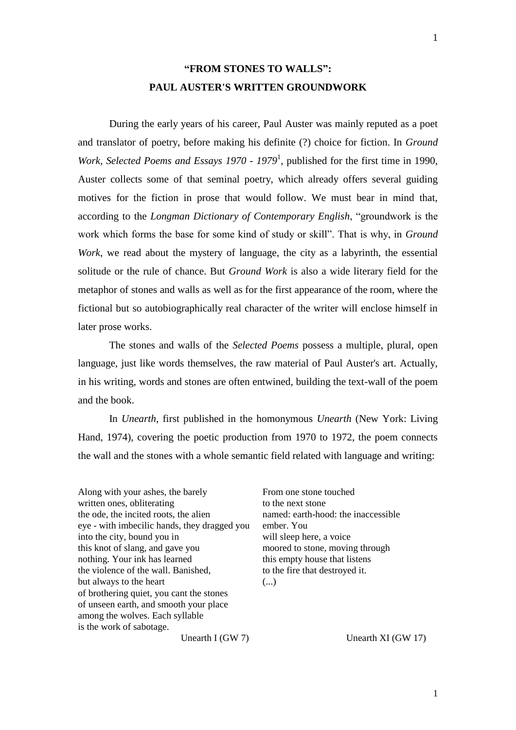## **"FROM STONES TO WALLS": PAUL AUSTER'S WRITTEN GROUNDWORK**

During the early years of his career, Paul Auster was mainly reputed as a poet and translator of poetry, before making his definite (?) choice for fiction. In *Ground Work, Selected Poems and Essays 1970 - 1979*<sup>1</sup> , published for the first time in 1990, Auster collects some of that seminal poetry, which already offers several guiding motives for the fiction in prose that would follow. We must bear in mind that, according to the *Longman Dictionary of Contemporary English*, "groundwork is the work which forms the base for some kind of study or skill". That is why, in *Ground Work*, we read about the mystery of language, the city as a labyrinth, the essential solitude or the rule of chance. But *Ground Work* is also a wide literary field for the metaphor of stones and walls as well as for the first appearance of the room, where the fictional but so autobiographically real character of the writer will enclose himself in later prose works.

The stones and walls of the *Selected Poems* possess a multiple, plural, open language, just like words themselves, the raw material of Paul Auster's art. Actually, in his writing, words and stones are often entwined, building the text-wall of the poem and the book.

In *Unearth*, first published in the homonymous *Unearth* (New York: Living Hand, 1974), covering the poetic production from 1970 to 1972, the poem connects the wall and the stones with a whole semantic field related with language and writing:

Along with your ashes, the barely written ones, obliterating the ode, the incited roots, the alien eye - with imbecilic hands, they dragged you into the city, bound you in this knot of slang, and gave you nothing. Your ink has learned the violence of the wall. Banished, but always to the heart of brothering quiet, you cant the stones of unseen earth, and smooth your place among the wolves. Each syllable is the work of sabotage.

From one stone touched to the next stone named: earth-hood: the inaccessible ember. You will sleep here, a voice moored to stone, moving through this empty house that listens to the fire that destroyed it. (...)

Unearth I (GW 7)

Unearth XI (GW 17)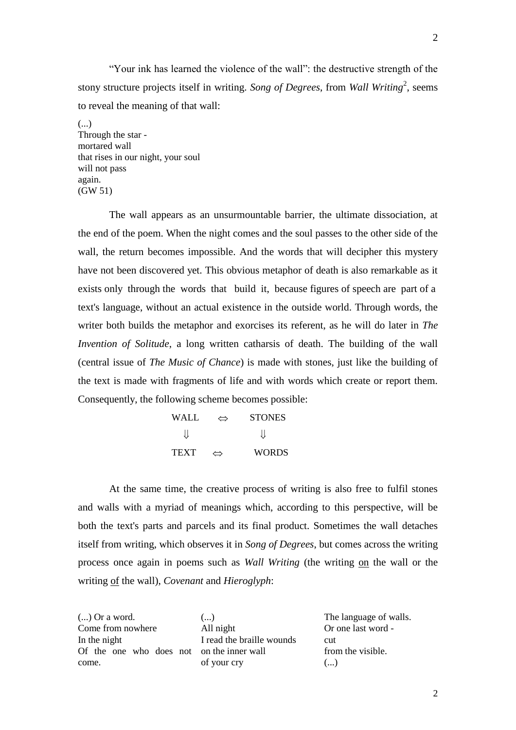"Your ink has learned the violence of the wall": the destructive strength of the stony structure projects itself in writing. Song of Degrees, from Wall Writing<sup>2</sup>, seems to reveal the meaning of that wall:

(...) Through the star mortared wall that rises in our night, your soul will not pass again. (GW 51)

The wall appears as an unsurmountable barrier, the ultimate dissociation, at the end of the poem. When the night comes and the soul passes to the other side of the wall, the return becomes impossible. And the words that will decipher this mystery have not been discovered yet. This obvious metaphor of death is also remarkable as it exists only through the words that build it, because figures of speech are part of a text's language, without an actual existence in the outside world. Through words, the writer both builds the metaphor and exorcises its referent, as he will do later in *The Invention of Solitude*, a long written catharsis of death. The building of the wall (central issue of *The Music of Chance*) is made with stones, just like the building of the text is made with fragments of life and with words which create or report them. Consequently, the following scheme becomes possible:

> WALL  $\Leftrightarrow$  STONES  $\prod$  $\prod$ TEXT  $\Leftrightarrow$  WORDS

At the same time, the creative process of writing is also free to fulfil stones and walls with a myriad of meanings which, according to this perspective, will be both the text's parts and parcels and its final product. Sometimes the wall detaches itself from writing, which observes it in *Song of Degrees*, but comes across the writing process once again in poems such as *Wall Writing* (the writing on the wall or the writing of the wall), *Covenant* and *Hieroglyph*:

(...) Or a word. Come from nowhere In the night Of the one who does not on the inner wall come.

(...) All night I read the braille wounds of your cry

The language of walls. Or one last word cut from the visible. (...)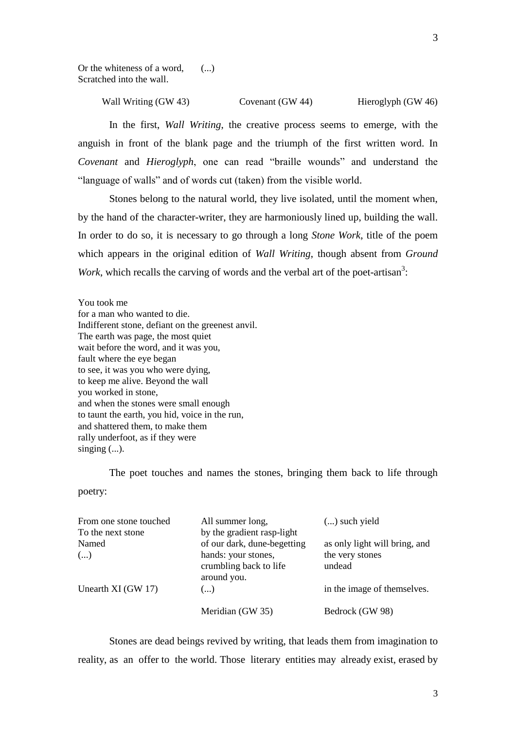Or the whiteness of a word, Scratched into the wall. (...)

> Wall Writing (GW 43) Covenant (GW 44) Hieroglyph (GW 46)

In the first, *Wall Writing*, the creative process seems to emerge, with the anguish in front of the blank page and the triumph of the first written word. In *Covenant* and *Hieroglyph*, one can read "braille wounds" and understand the "language of walls" and of words cut (taken) from the visible world.

Stones belong to the natural world, they live isolated, until the moment when, by the hand of the character-writer, they are harmoniously lined up, building the wall. In order to do so, it is necessary to go through a long *Stone Work*, title of the poem which appears in the original edition of *Wall Writing*, though absent from *Ground Work*, which recalls the carving of words and the verbal art of the poet-artisan<sup>3</sup>:

You took me for a man who wanted to die. Indifferent stone, defiant on the greenest anvil. The earth was page, the most quiet wait before the word, and it was you, fault where the eye began to see, it was you who were dying, to keep me alive. Beyond the wall you worked in stone, and when the stones were small enough to taunt the earth, you hid, voice in the run, and shattered them, to make them rally underfoot, as if they were singing  $(...)$ .

The poet touches and names the stones, bringing them back to life through

poetry:

| From one stone touched | All summer long,                                             | $()$ such yield               |
|------------------------|--------------------------------------------------------------|-------------------------------|
| To the next stone      | by the gradient rasp-light                                   |                               |
| Named                  | of our dark, dune-begetting                                  | as only light will bring, and |
| ()                     | hands: your stones,<br>crumbling back to life<br>around you. | the very stones<br>undead     |
| Unearth XI (GW 17)     | $(\ldots)$                                                   | in the image of themselves.   |
|                        | Meridian (GW 35)                                             | Bedrock (GW 98)               |

Stones are dead beings revived by writing, that leads them from imagination to reality, as an offer to the world. Those literary entities may already exist, erased by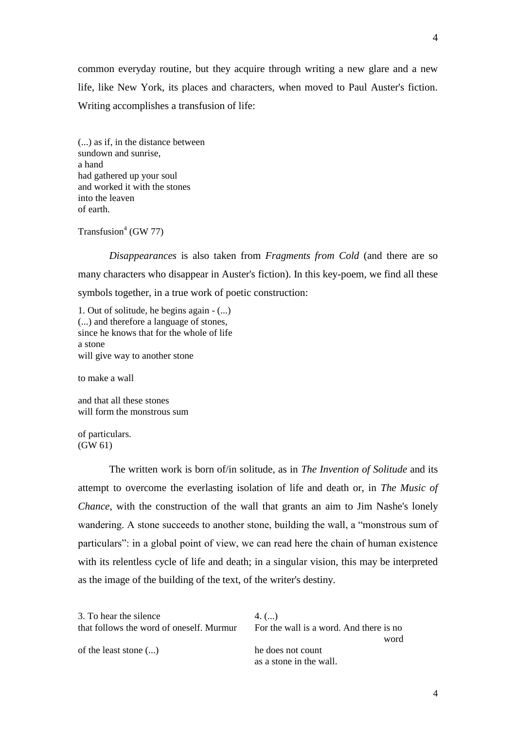common everyday routine, but they acquire through writing a new glare and a new life, like New York, its places and characters, when moved to Paul Auster's fiction. Writing accomplishes a transfusion of life:

(...) as if, in the distance between sundown and sunrise, a hand had gathered up your soul and worked it with the stones into the leaven of earth.

Transfusion<sup>4</sup> (GW 77)

*Disappearances* is also taken from *Fragments from Cold* (and there are so many characters who disappear in Auster's fiction). In this key-poem, we find all these symbols together, in a true work of poetic construction:

1. Out of solitude, he begins again - (...) (...) and therefore a language of stones, since he knows that for the whole of life a stone will give way to another stone

to make a wall

and that all these stones will form the monstrous sum

of particulars. (GW 61)

The written work is born of/in solitude, as in *The Invention of Solitude* and its attempt to overcome the everlasting isolation of life and death or, in *The Music of Chance*, with the construction of the wall that grants an aim to Jim Nashe's lonely wandering. A stone succeeds to another stone, building the wall, a "monstrous sum of particulars": in a global point of view, we can read here the chain of human existence with its relentless cycle of life and death; in a singular vision, this may be interpreted as the image of the building of the text, of the writer's destiny.

| 3. To hear the silence<br>that follows the word of oneself. Murmur | $4. \, (\ldots)$<br>For the wall is a word. And there is no<br>word |
|--------------------------------------------------------------------|---------------------------------------------------------------------|
| of the least stone $(\ldots)$                                      | he does not count<br>as a stone in the wall.                        |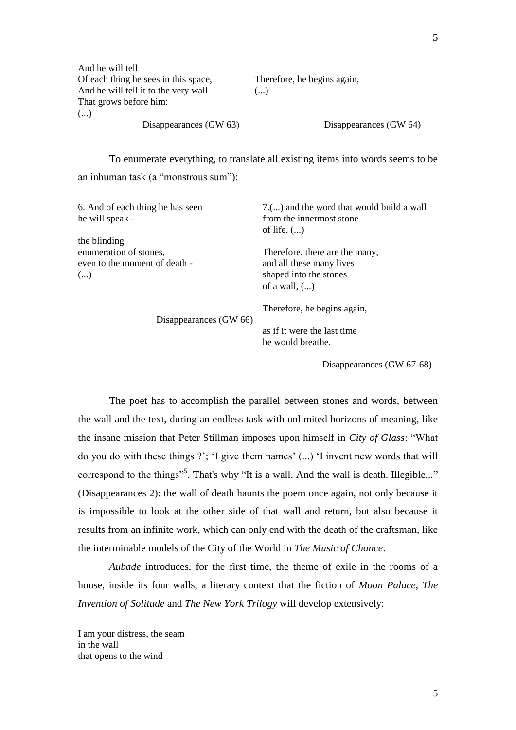| And he will tell                     |                             |
|--------------------------------------|-----------------------------|
| Of each thing he sees in this space, | Therefore, he begins again, |
| And he will tell it to the very wall | ()                          |
| That grows before him:               |                             |
| ()                                   |                             |
| Disappearances (GW 63)               | Disappearances (GW 64)      |

To enumerate everything, to translate all existing items into words seems to be an inhuman task (a "monstrous sum"):

| 6. And of each thing he has seen<br>he will speak -                           | 7.() and the word that would build a wall<br>from the innermost stone<br>of life. $(\ldots)$            |
|-------------------------------------------------------------------------------|---------------------------------------------------------------------------------------------------------|
| the blinding<br>enumeration of stones,<br>even to the moment of death -<br>() | Therefore, there are the many,<br>and all these many lives<br>shaped into the stones<br>of a wall, $()$ |
| Disappearances (GW 66)                                                        | Therefore, he begins again,                                                                             |
|                                                                               | as if it were the last time<br>he would breathe.                                                        |

Disappearances (GW 67-68)

The poet has to accomplish the parallel between stones and words, between the wall and the text, during an endless task with unlimited horizons of meaning, like the insane mission that Peter Stillman imposes upon himself in *City of Glass*: "What do you do with these things ?"; "I give them names" (...) "I invent new words that will correspond to the things"<sup>5</sup>. That's why "It is a wall. And the wall is death. Illegible..." (Disappearances 2): the wall of death haunts the poem once again, not only because it is impossible to look at the other side of that wall and return, but also because it results from an infinite work, which can only end with the death of the craftsman, like the interminable models of the City of the World in *The Music of Chance*.

*Aubade* introduces, for the first time, the theme of exile in the rooms of a house, inside its four walls, a literary context that the fiction of *Moon Palace*, *The Invention of Solitude* and *The New York Trilogy* will develop extensively:

I am your distress, the seam in the wall that opens to the wind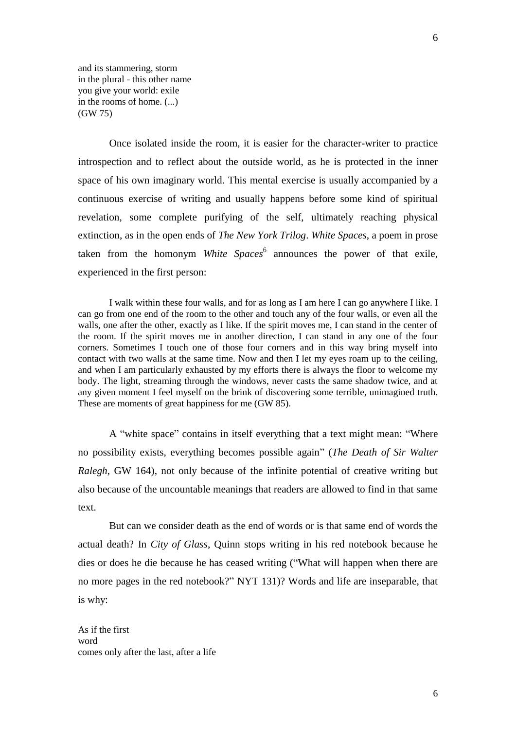and its stammering, storm in the plural - this other name you give your world: exile in the rooms of home. (...) (GW 75)

Once isolated inside the room, it is easier for the character-writer to practice introspection and to reflect about the outside world, as he is protected in the inner space of his own imaginary world. This mental exercise is usually accompanied by a continuous exercise of writing and usually happens before some kind of spiritual revelation, some complete purifying of the self, ultimately reaching physical extinction, as in the open ends of *The New York Trilog*. *White Spaces*, a poem in prose taken from the homonym *White Spaces*<sup>6</sup> announces the power of that exile, experienced in the first person:

I walk within these four walls, and for as long as I am here I can go anywhere I like. I can go from one end of the room to the other and touch any of the four walls, or even all the walls, one after the other, exactly as I like. If the spirit moves me, I can stand in the center of the room. If the spirit moves me in another direction, I can stand in any one of the four corners. Sometimes I touch one of those four corners and in this way bring myself into contact with two walls at the same time. Now and then I let my eyes roam up to the ceiling, and when I am particularly exhausted by my efforts there is always the floor to welcome my body. The light, streaming through the windows, never casts the same shadow twice, and at any given moment I feel myself on the brink of discovering some terrible, unimagined truth. These are moments of great happiness for me (GW 85).

A "white space" contains in itself everything that a text might mean: "Where no possibility exists, everything becomes possible again" (*The Death of Sir Walter Ralegh,* GW 164), not only because of the infinite potential of creative writing but also because of the uncountable meanings that readers are allowed to find in that same text.

But can we consider death as the end of words or is that same end of words the actual death? In *City of Glass*, Quinn stops writing in his red notebook because he dies or does he die because he has ceased writing ("What will happen when there are no more pages in the red notebook?" NYT 131)? Words and life are inseparable, that is why:

As if the first word comes only after the last, after a life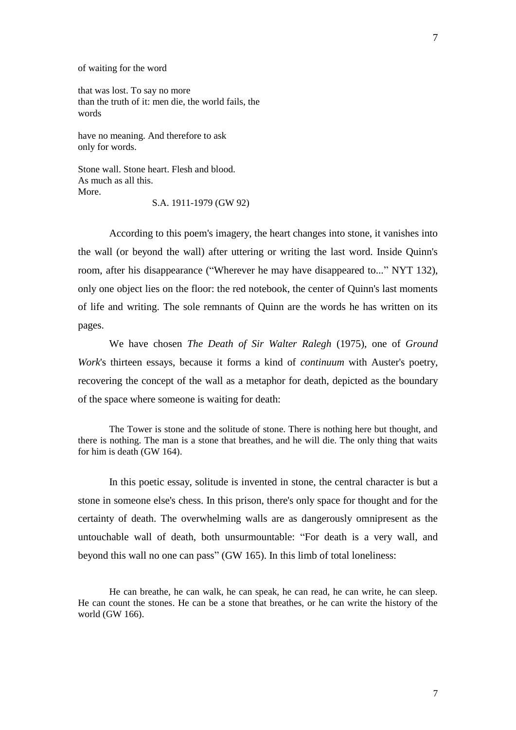of waiting for the word

that was lost. To say no more than the truth of it: men die, the world fails, the words

have no meaning. And therefore to ask only for words.

Stone wall. Stone heart. Flesh and blood. As much as all this. More.

S.A. 1911-1979 (GW 92)

According to this poem's imagery, the heart changes into stone, it vanishes into the wall (or beyond the wall) after uttering or writing the last word. Inside Quinn's room, after his disappearance ("Wherever he may have disappeared to..." NYT 132), only one object lies on the floor: the red notebook, the center of Quinn's last moments of life and writing. The sole remnants of Quinn are the words he has written on its pages.

We have chosen *The Death of Sir Walter Ralegh* (1975), one of *Ground Work*'s thirteen essays, because it forms a kind of *continuum* with Auster's poetry, recovering the concept of the wall as a metaphor for death, depicted as the boundary of the space where someone is waiting for death:

The Tower is stone and the solitude of stone. There is nothing here but thought, and there is nothing. The man is a stone that breathes, and he will die. The only thing that waits for him is death (GW 164).

In this poetic essay, solitude is invented in stone, the central character is but a stone in someone else's chess. In this prison, there's only space for thought and for the certainty of death. The overwhelming walls are as dangerously omnipresent as the untouchable wall of death, both unsurmountable: "For death is a very wall, and beyond this wall no one can pass" (GW 165). In this limb of total loneliness:

He can breathe, he can walk, he can speak, he can read, he can write, he can sleep. He can count the stones. He can be a stone that breathes, or he can write the history of the world (GW 166).